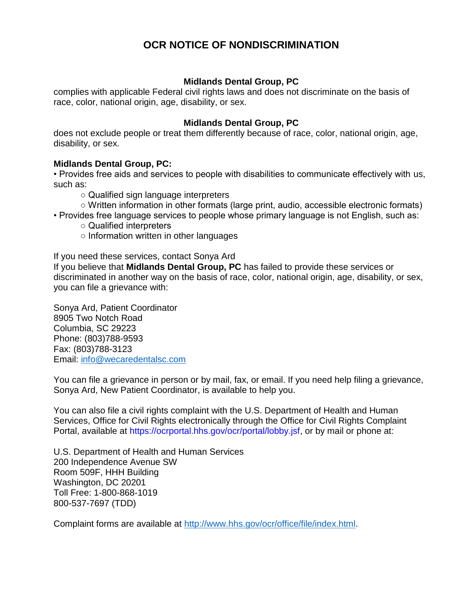# **OCR NOTICE OF NONDISCRIMINATION**

# **Midlands Dental Group, PC**

complies with applicable Federal civil rights laws and does not discriminate on the basis of race, color, national origin, age, disability, or sex.

# **Midlands Dental Group, PC**

does not exclude people or treat them differently because of race, color, national origin, age, disability, or sex.

# **Midlands Dental Group, PC:**

• Provides free aids and services to people with disabilities to communicate effectively with us, such as:

○ Qualified sign language interpreters

- Written information in other formats (large print, audio, accessible electronic formats)
- Provides free language services to people whose primary language is not English, such as:
	- Qualified interpreters
	- Information written in other languages

If you need these services, contact Sonya Ard

If you believe that **Midlands Dental Group, PC** has failed to provide these services or discriminated in another way on the basis of race, color, national origin, age, disability, or sex, you can file a grievance with:

Sonya Ard, Patient Coordinator 8905 Two Notch Road Columbia, SC 29223 Phone: (803)788-9593 Fax: (803)788-3123 Email: [info@wecaredentalsc.com](mailto:info@wecaredentalsc.com)

You can file a grievance in person or by mail, fax, or email. If you need help filing a grievance, Sonya Ard, New Patient Coordinator, is available to help you.

You can also file a civil rights complaint with the U.S. Department of Health and Human Services, Office for Civil Rights electronically through the Office for Civil Rights Complaint Portal, available at https://ocrportal.hhs.gov/ocr/portal/lobby.jsf, or by mail or phone at:

U.S. Department of Health and Human Services 200 Independence Avenue SW Room 509F, HHH Building Washington, DC 20201 Toll Free: 1-800-868-1019 800-537-7697 (TDD)

Complaint forms are available at [http://www.hhs.gov/ocr/office/file/index.html.](http://www.hhs.gov/ocr/office/file/index.html)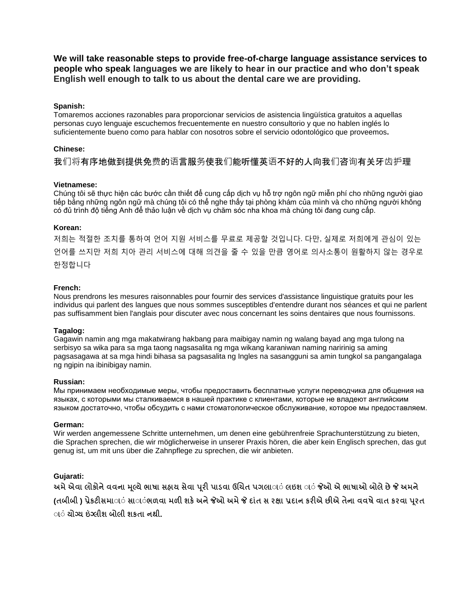**We will take reasonable steps to provide free-of-charge language assistance services to people who speak languages we are likely to hear in our practice and who don't speak English well enough to talk to us about the dental care we are providing.**

# **Spanish:**

Tomaremos acciones razonables para proporcionar servicios de asistencia lingüística gratuitos a aquellas personas cuyo lenguaje escuchemos frecuentemente en nuestro consultorio y que no hablen inglés lo suficientemente bueno como para hablar con nosotros sobre el servicio odontológico que proveemos**.**

# **Chinese:**

我们将有序地做到提供免费的语言服务使我们能听懂英语不好的人向我们咨询有关牙齿护理

# **Vietnamese:**

Chúng tôi sẽ thực hiện các bước cần thiết để cung cấp dịch vụ hỗ trợ ngôn ngữ miễn phí cho những người giao tiếp bằng những ngôn ngữ mà chúng tôi có thể nghe thấy tại phòng khám của mình và cho những người không có đủ trình độ tiếng Anh để thảo luận về dịch vụ chăm sóc nha khoa mà chúng tôi đang cung cấp.

# **Korean:**

저희는 적절한 조치를 통하여 언어 지원 서비스를 무료로 제공할 것입니다. 다만, 실제로 저희에게 관심이 있는 언어를 쓰지만 저희 치아 관리 서비스에 대해 의견을 줄 수 있을 만큼 영어로 의사소통이 원활하지 않는 경우로 한정합니다

# **French:**

Nous prendrons les mesures raisonnables pour fournir des services d'assistance linguistique gratuits pour les individus qui parlent des langues que nous sommes susceptibles d'entendre durant nos séances et qui ne parlent pas suffisamment bien l'anglais pour discuter avec nous concernant les soins dentaires que nous fournissons.

#### **Tagalog:**

Gagawin namin ang mga makatwirang hakbang para maibigay namin ng walang bayad ang mga tulong na serbisyo sa wika para sa mga taong nagsasalita ng mga wikang karaniwan naming naririnig sa aming pagsasagawa at sa mga hindi bihasa sa pagsasalita ng Ingles na sasangguni sa amin tungkol sa pangangalaga ng ngipin na ibinibigay namin.

#### **Russian:**

Мы принимаем необходимые меры, чтобы предоставить бесплатные услуги переводчика для общения на языках, с которыми мы сталкиваемся в нашей практике с клиентами, которые не владеют английским языком достаточно, чтобы обсудить с нами стоматологическое обслуживание, которое мы предоставляем.

#### **German:**

Wir werden angemessene Schritte unternehmen, um denen eine gebührenfreie Sprachunterstützung zu bieten, die Sprachen sprechen, die wir möglicherweise in unserer Praxis hören, die aber kein Englisch sprechen, das gut genug ist, um mit uns über die Zahnpflege zu sprechen, die wir anbieten.

#### **Gujarati:**

**અમેએવા લોકોનેવવના મલ્ૂયેભાષા સહાય સેવા પ ૂરી પાડવા ઉચિત પગલાાાા લઇશ ાાા જેઓ એ ભાષાઓ બોલેછેજે અમને** (તબીબી ) પ્રેકટીસમાાં સાાંભળવા મળી શકે અને જેઓ અમે જે દાંત સ રક્ષા પ્રદાન કરીએ છીએ તેના વવષે વાત કરવા પુરત **ાાા યોગ્ય ઇંગ્લીશ બોલી શકતા નથી.**